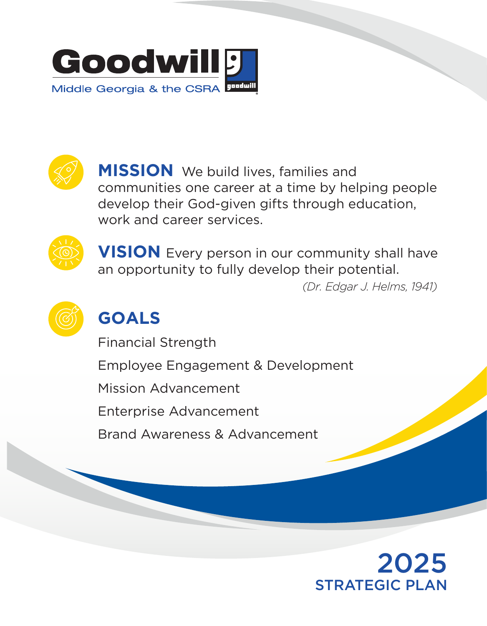



**MISSION** We build lives, families and communities one career at a time by helping people develop their God-given gifts through education, work and career services.



**VISION** Every person in our community shall have an opportunity to fully develop their potential.

 *(Dr. Edgar J. Helms, 1941)*



# **GOALS**

Financial Strength Employee Engagement & Development Mission Advancement Enterprise Advancement Brand Awareness & Advancement

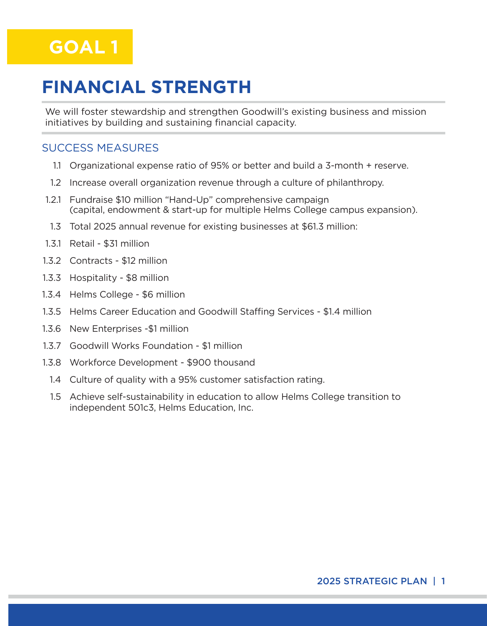

### **FINANCIAL STRENGTH**

We will foster stewardship and strengthen Goodwill's existing business and mission initiatives by building and sustaining financial capacity.

#### SUCCESS MEASURES

- 1.1 Organizational expense ratio of 95% or better and build a 3-month + reserve.
- 1.2 Increase overall organization revenue through a culture of philanthropy.
- 1.2.1 Fundraise \$10 million "Hand-Up" comprehensive campaign (capital, endowment & start-up for multiple Helms College campus expansion).
- 1.3 Total 2025 annual revenue for existing businesses at \$61.3 million:
- 1.3.1 Retail \$31 million
- 1.3.2 Contracts \$12 million
- 1.3.3 Hospitality \$8 million
- 1.3.4 Helms College \$6 million
- 1.3.5 Helms Career Education and Goodwill Staffing Services \$1.4 million
- 1.3.6 New Enterprises -\$1 million
- 1.3.7 Goodwill Works Foundation \$1 million
- 1.3.8 Workforce Development \$900 thousand
	- 1.4 Culture of quality with a 95% customer satisfaction rating.
	- 1.5 Achieve self-sustainability in education to allow Helms College transition to independent 501c3, Helms Education, Inc.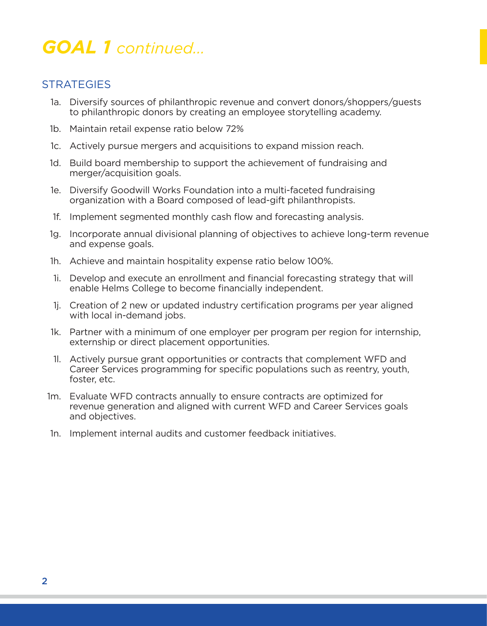### *GOAL 1 continued...*

- 1a. Diversify sources of philanthropic revenue and convert donors/shoppers/guests to philanthropic donors by creating an employee storytelling academy.
- 1b. Maintain retail expense ratio below 72%
- 1c. Actively pursue mergers and acquisitions to expand mission reach.
- 1d. Build board membership to support the achievement of fundraising and merger/acquisition goals.
- 1e. Diversify Goodwill Works Foundation into a multi-faceted fundraising organization with a Board composed of lead-gift philanthropists.
- 1f. Implement segmented monthly cash flow and forecasting analysis.
- 1g. Incorporate annual divisional planning of objectives to achieve long-term revenue and expense goals.
- 1h. Achieve and maintain hospitality expense ratio below 100%.
- 1i. Develop and execute an enrollment and financial forecasting strategy that will enable Helms College to become financially independent.
- 1j. Creation of 2 new or updated industry certification programs per year aligned with local in-demand jobs.
- 1k. Partner with a minimum of one employer per program per region for internship, externship or direct placement opportunities.
- 1l. Actively pursue grant opportunities or contracts that complement WFD and Career Services programming for specific populations such as reentry, youth, foster, etc.
- 1m. Evaluate WFD contracts annually to ensure contracts are optimized for revenue generation and aligned with current WFD and Career Services goals and objectives.
- 1n. Implement internal audits and customer feedback initiatives.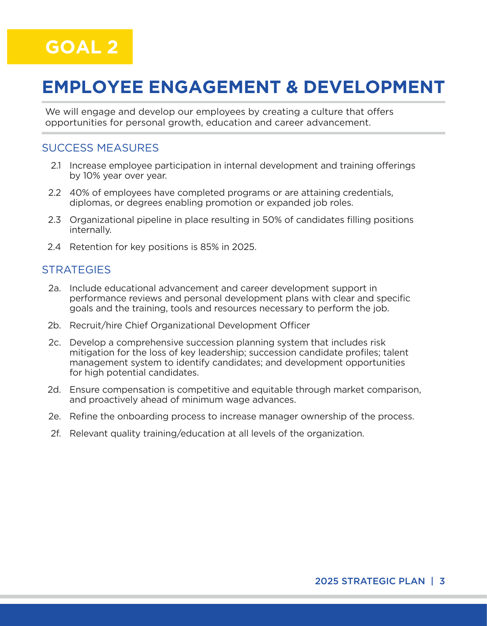# **EMPLOYEE ENGAGEMENT & DEVELOPMENT**

We will engage and develop our employees by creating a culture that offers opportunities for personal growth, education and career advancement.

#### SUCCESS MEASURES

- 2.1 Increase employee participation in internal development and training offerings by 10% year over year.
- 2.2 40% of employees have completed programs or are attaining credentials, diplomas, or degrees enabling promotion or expanded job roles.
- 2.3 Organizational pipeline in place resulting in 50% of candidates filling positions internally.
- 2.4 Retention for key positions is 85% in 2025.

- 2a. Include educational advancement and career development support in performance reviews and personal development plans with clear and specific goals and the training, tools and resources necessary to perform the job.
- 2b. Recruit/hire Chief Organizational Development Officer
- 2c. Develop a comprehensive succession planning system that includes risk mitigation for the loss of key leadership; succession candidate profiles; talent management system to identify candidates; and development opportunities for high potential candidates.
- 2d. Ensure compensation is competitive and equitable through market comparison, and proactively ahead of minimum wage advances.
- 2e. Refine the onboarding process to increase manager ownership of the process.
- 2f. Relevant quality training/education at all levels of the organization.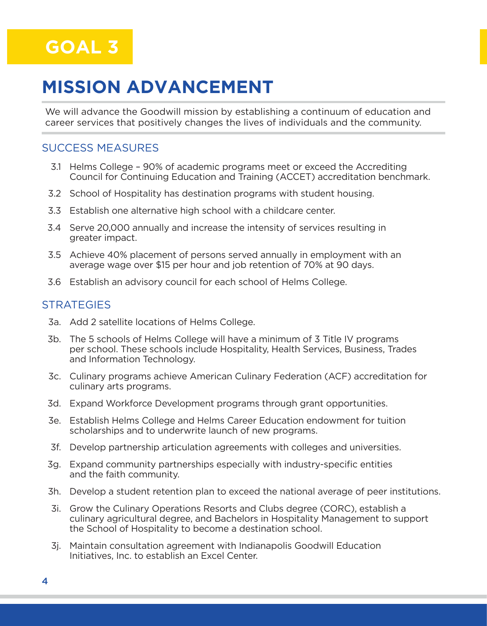# **MISSION ADVANCEMENT**

We will advance the Goodwill mission by establishing a continuum of education and career services that positively changes the lives of individuals and the community.

#### SUCCESS MEASURES

- 3.1 Helms College 90% of academic programs meet or exceed the Accrediting Council for Continuing Education and Training (ACCET) accreditation benchmark.
- 3.2 School of Hospitality has destination programs with student housing.
- 3.3 Establish one alternative high school with a childcare center.
- 3.4 Serve 20,000 annually and increase the intensity of services resulting in greater impact.
- 3.5 Achieve 40% placement of persons served annually in employment with an average wage over \$15 per hour and job retention of 70% at 90 days.
- 3.6 Establish an advisory council for each school of Helms College.

- 3a. Add 2 satellite locations of Helms College.
- 3b. The 5 schools of Helms College will have a minimum of 3 Title IV programs per school. These schools include Hospitality, Health Services, Business, Trades and Information Technology.
- 3c. Culinary programs achieve American Culinary Federation (ACF) accreditation for culinary arts programs.
- 3d. Expand Workforce Development programs through grant opportunities.
- 3e. Establish Helms College and Helms Career Education endowment for tuition scholarships and to underwrite launch of new programs.
- 3f. Develop partnership articulation agreements with colleges and universities.
- 3g. Expand community partnerships especially with industry-specific entities and the faith community.
- 3h. Develop a student retention plan to exceed the national average of peer institutions.
- 3i. Grow the Culinary Operations Resorts and Clubs degree (CORC), establish a culinary agricultural degree, and Bachelors in Hospitality Management to support the School of Hospitality to become a destination school.
- 3j. Maintain consultation agreement with Indianapolis Goodwill Education Initiatives, Inc. to establish an Excel Center.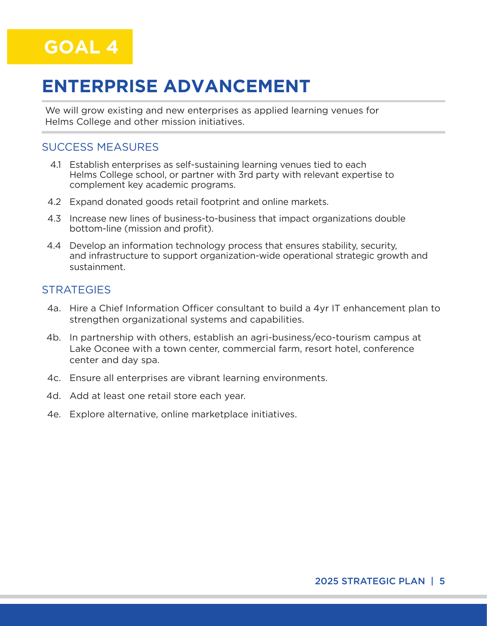

### **ENTERPRISE ADVANCEMENT**

We will grow existing and new enterprises as applied learning venues for Helms College and other mission initiatives.

#### SUCCESS MEASURES

- 4.1 Establish enterprises as self-sustaining learning venues tied to each Helms College school, or partner with 3rd party with relevant expertise to complement key academic programs.
- 4.2 Expand donated goods retail footprint and online markets.
- 4.3 Increase new lines of business-to-business that impact organizations double bottom-line (mission and profit).
- 4.4 Develop an information technology process that ensures stability, security, and infrastructure to support organization-wide operational strategic growth and sustainment.

- 4a. Hire a Chief Information Officer consultant to build a 4yr IT enhancement plan to strengthen organizational systems and capabilities.
- 4b. In partnership with others, establish an agri-business/eco-tourism campus at Lake Oconee with a town center, commercial farm, resort hotel, conference center and day spa.
- 4c. Ensure all enterprises are vibrant learning environments.
- 4d. Add at least one retail store each year.
- 4e. Explore alternative, online marketplace initiatives.